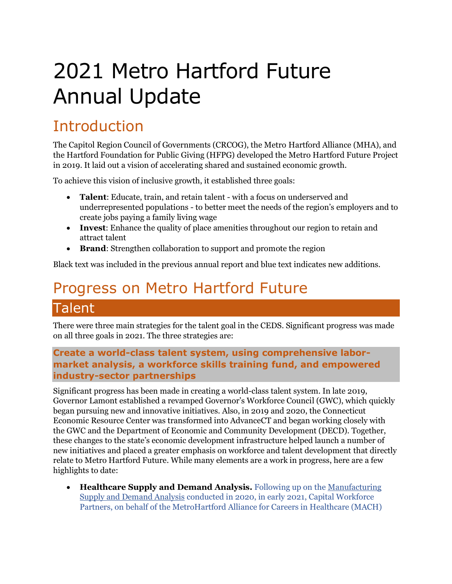# 2021 Metro Hartford Future Annual Update

## Introduction

The Capitol Region Council of Governments (CRCOG), the Metro Hartford Alliance (MHA), and the Hartford Foundation for Public Giving (HFPG) developed the Metro Hartford Future Project in 2019. It laid out a vision of accelerating shared and sustained economic growth.

To achieve this vision of inclusive growth, it established three goals:

- **Talent**: Educate, train, and retain talent with a focus on underserved and underrepresented populations - to better meet the needs of the region's employers and to create jobs paying a family living wage
- **Invest**: Enhance the quality of place amenities throughout our region to retain and attract talent
- **Brand**: Strengthen collaboration to support and promote the region

Black text was included in the previous annual report and blue text indicates new additions.

# Progress on Metro Hartford Future

### Talent

There were three main strategies for the talent goal in the CEDS. Significant progress was made on all three goals in 2021. The three strategies are:

#### **Create a world-class talent system, using comprehensive labormarket analysis, a workforce skills training fund, and empowered industry-sector partnerships**

Significant progress has been made in creating a world-class talent system. In late 2019, Governor Lamont established a revamped Governor's Workforce Council (GWC), which quickly began pursuing new and innovative initiatives. Also, in 2019 and 2020, the Connecticut Economic Resource Center was transformed into AdvanceCT and began working closely with the GWC and the Department of Economic and Community Development (DECD). Together, these changes to the state's economic development infrastructure helped launch a number of new initiatives and placed a greater emphasis on workforce and talent development that directly relate to Metro Hartford Future. While many elements are a work in progress, here are a few highlights to date:

• **Healthcare Supply and Demand Analysis.** Following up on the [Manufacturing](https://capitalworkforce.org/wp-content/uploads/2021/03/CAPP-Supply-Side-Analysis-Final-5_15.pdf)  [Supply and Demand Analysis](https://capitalworkforce.org/wp-content/uploads/2021/03/CAPP-Supply-Side-Analysis-Final-5_15.pdf) conducted in 2020, in early 2021, Capital Workforce Partners, on behalf of the MetroHartford Alliance for Careers in Healthcare (MACH)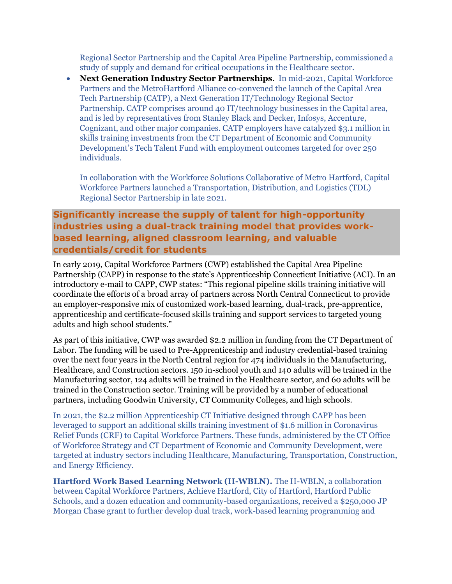Regional Sector Partnership and the Capital Area Pipeline Partnership, commissioned a study of supply and demand for critical occupations in the Healthcare sector.

• **Next Generation Industry Sector Partnerships**. In mid-2021, Capital Workforce Partners and the MetroHartford Alliance co-convened the launch of the Capital Area Tech Partnership (CATP), a Next Generation IT/Technology Regional Sector Partnership. CATP comprises around 40 IT/technology businesses in the Capital area, and is led by representatives from Stanley Black and Decker, Infosys, Accenture, Cognizant, and other major companies. CATP employers have catalyzed \$3.1 million in skills training investments from the CT Department of Economic and Community Development's Tech Talent Fund with employment outcomes targeted for over 250 individuals.

In collaboration with the Workforce Solutions Collaborative of Metro Hartford, Capital Workforce Partners launched a Transportation, Distribution, and Logistics (TDL) Regional Sector Partnership in late 2021.

#### **Significantly increase the supply of talent for high-opportunity industries using a dual-track training model that provides workbased learning, aligned classroom learning, and valuable credentials/credit for students**

In early 2019, Capital Workforce Partners (CWP) established the Capital Area Pipeline Partnership (CAPP) in response to the state's Apprenticeship Connecticut Initiative (ACI). In an introductory e-mail to CAPP, CWP states: "This regional pipeline skills training initiative will coordinate the efforts of a broad array of partners across North Central Connecticut to provide an employer-responsive mix of customized work-based learning, dual-track, pre-apprentice, apprenticeship and certificate-focused skills training and support services to targeted young adults and high school students."

As part of this initiative, CWP was awarded \$2.2 million in funding from the CT Department of Labor. The funding will be used to Pre-Apprenticeship and industry credential-based training over the next four years in the North Central region for 474 individuals in the Manufacturing, Healthcare, and Construction sectors. 150 in-school youth and 140 adults will be trained in the Manufacturing sector, 124 adults will be trained in the Healthcare sector, and 60 adults will be trained in the Construction sector. Training will be provided by a number of educational partners, including Goodwin University, CT Community Colleges, and high schools.

In 2021, the \$2.2 million Apprenticeship CT Initiative designed through CAPP has been leveraged to support an additional skills training investment of \$1.6 million in Coronavirus Relief Funds (CRF) to Capital Workforce Partners. These funds, administered by the CT Office of Workforce Strategy and CT Department of Economic and Community Development, were targeted at industry sectors including Healthcare, Manufacturing, Transportation, Construction, and Energy Efficiency.

**Hartford Work Based Learning Network (H-WBLN).** The H-WBLN, a collaboration between Capital Workforce Partners, Achieve Hartford, City of Hartford, Hartford Public Schools, and a dozen education and community-based organizations, received a \$250,000 JP Morgan Chase grant to further develop dual track, work-based learning programming and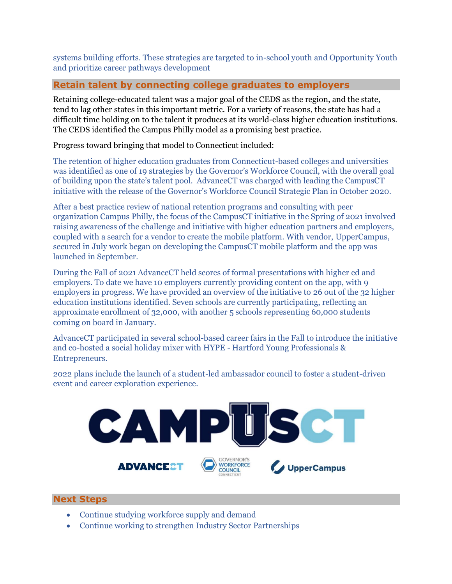systems building efforts. These strategies are targeted to in-school youth and Opportunity Youth and prioritize career pathways development

#### **Retain talent by connecting college graduates to employers**

Retaining college-educated talent was a major goal of the CEDS as the region, and the state, tend to lag other states in this important metric. For a variety of reasons, the state has had a difficult time holding on to the talent it produces at its world-class higher education institutions. The CEDS identified the Campus Philly model as a promising best practice.

Progress toward bringing that model to Connecticut included:

The retention of higher education graduates from Connecticut-based colleges and universities was identified as one of 19 strategies by the Governor's Workforce Council, with the overall goal of building upon the state's talent pool. AdvanceCT was charged with leading the CampusCT initiative with the release of the Governor's Workforce Council Strategic Plan in October 2020.

After a best practice review of national retention programs and consulting with peer organization Campus Philly, the focus of the CampusCT initiative in the Spring of 2021 involved raising awareness of the challenge and initiative with higher education partners and employers, coupled with a search for a vendor to create the mobile platform. With vendor, UpperCampus, secured in July work began on developing the CampusCT mobile platform and the app was launched in September.

During the Fall of 2021 AdvanceCT held scores of formal presentations with higher ed and employers. To date we have 10 employers currently providing content on the app, with 9 employers in progress. We have provided an overview of the initiative to 26 out of the 32 higher education institutions identified. Seven schools are currently participating, reflecting an approximate enrollment of 32,000, with another 5 schools representing 60,000 students coming on board in January.

AdvanceCT participated in several school-based career fairs in the Fall to introduce the initiative and co-hosted a social holiday mixer with HYPE - Hartford Young Professionals & Entrepreneurs.

2022 plans include the launch of a student-led ambassador council to foster a student-driven event and career exploration experience.



#### **Next Steps**

- Continue studying workforce supply and demand
- Continue working to strengthen Industry Sector Partnerships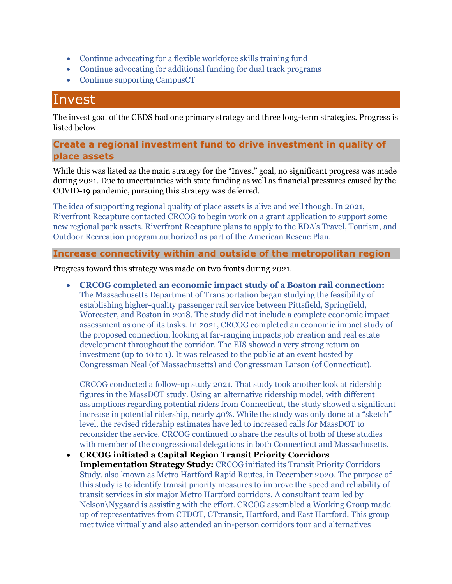- Continue advocating for a flexible workforce skills training fund
- Continue advocating for additional funding for dual track programs
- Continue supporting CampusCT

### Invest

The invest goal of the CEDS had one primary strategy and three long-term strategies. Progress is listed below.

#### **Create a regional investment fund to drive investment in quality of place assets**

While this was listed as the main strategy for the "Invest" goal, no significant progress was made during 2021. Due to uncertainties with state funding as well as financial pressures caused by the COVID-19 pandemic, pursuing this strategy was deferred.

The idea of supporting regional quality of place assets is alive and well though. In 2021, Riverfront Recapture contacted CRCOG to begin work on a grant application to support some new regional park assets. Riverfront Recapture plans to apply to the EDA's Travel, Tourism, and Outdoor Recreation program authorized as part of the American Rescue Plan.

#### **Increase connectivity within and outside of the metropolitan region**

Progress toward this strategy was made on two fronts during 2021.

• **CRCOG completed an economic impact study of a Boston rail connection:** The Massachusetts Department of Transportation began studying the feasibility of establishing higher-quality passenger rail service between Pittsfield, Springfield, Worcester, and Boston in 2018. The study did not include a complete economic impact assessment as one of its tasks. In 2021, CRCOG completed an economic impact study of the proposed connection, looking at far-ranging impacts job creation and real estate development throughout the corridor. The EIS showed a very strong return on investment (up to 10 to 1). It was released to the public at an event hosted by Congressman Neal (of Massachusetts) and Congressman Larson (of Connecticut).

CRCOG conducted a follow-up study 2021. That study took another look at ridership figures in the MassDOT study. Using an alternative ridership model, with different assumptions regarding potential riders from Connecticut, the study showed a significant increase in potential ridership, nearly 40%. While the study was only done at a "sketch" level, the revised ridership estimates have led to increased calls for MassDOT to reconsider the service. CRCOG continued to share the results of both of these studies with member of the congressional delegations in both Connecticut and Massachusetts.

• **CRCOG initiated a Capital Region Transit Priority Corridors Implementation Strategy Study:** CRCOG initiated its Transit Priority Corridors Study, also known as Metro Hartford Rapid Routes, in December 2020. The purpose of this study is to identify transit priority measures to improve the speed and reliability of transit services in six major Metro Hartford corridors. A consultant team led by Nelson\Nygaard is assisting with the effort. CRCOG assembled a Working Group made up of representatives from CTDOT, CTtransit, Hartford, and East Hartford. This group met twice virtually and also attended an in-person corridors tour and alternatives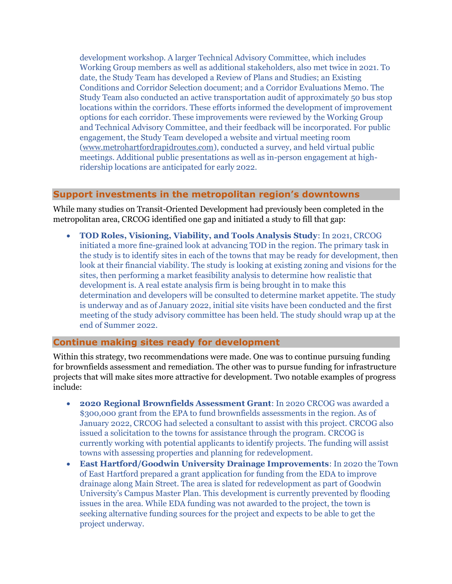development workshop. A larger Technical Advisory Committee, which includes Working Group members as well as additional stakeholders, also met twice in 2021. To date, the Study Team has developed a Review of Plans and Studies; an Existing Conditions and Corridor Selection document; and a Corridor Evaluations Memo. The Study Team also conducted an active transportation audit of approximately 50 bus stop locations within the corridors. These efforts informed the development of improvement options for each corridor. These improvements were reviewed by the Working Group and Technical Advisory Committee, and their feedback will be incorporated. For public engagement, the Study Team developed a website and virtual meeting room [\(www.metrohartfordrapidroutes.com\)](http://www.metrohartfordrapidroutes.com/), conducted a survey, and held virtual public meetings. Additional public presentations as well as in-person engagement at highridership locations are anticipated for early 2022.

#### **Support investments in the metropolitan region's downtowns**

While many studies on Transit-Oriented Development had previously been completed in the metropolitan area, CRCOG identified one gap and initiated a study to fill that gap:

• **TOD Roles, Visioning, Viability, and Tools Analysis Study**: In 2021, CRCOG initiated a more fine-grained look at advancing TOD in the region. The primary task in the study is to identify sites in each of the towns that may be ready for development, then look at their financial viability. The study is looking at existing zoning and visions for the sites, then performing a market feasibility analysis to determine how realistic that development is. A real estate analysis firm is being brought in to make this determination and developers will be consulted to determine market appetite. The study is underway and as of January 2022, initial site visits have been conducted and the first meeting of the study advisory committee has been held. The study should wrap up at the end of Summer 2022.

#### **Continue making sites ready for development**

Within this strategy, two recommendations were made. One was to continue pursuing funding for brownfields assessment and remediation. The other was to pursue funding for infrastructure projects that will make sites more attractive for development. Two notable examples of progress include:

- **2020 Regional Brownfields Assessment Grant**: In 2020 CRCOG was awarded a \$300,000 grant from the EPA to fund brownfields assessments in the region. As of January 2022, CRCOG had selected a consultant to assist with this project. CRCOG also issued a solicitation to the towns for assistance through the program. CRCOG is currently working with potential applicants to identify projects. The funding will assist towns with assessing properties and planning for redevelopment.
- **East Hartford/Goodwin University Drainage Improvements**: In 2020 the Town of East Hartford prepared a grant application for funding from the EDA to improve drainage along Main Street. The area is slated for redevelopment as part of Goodwin University's Campus Master Plan. This development is currently prevented by flooding issues in the area. While EDA funding was not awarded to the project, the town is seeking alternative funding sources for the project and expects to be able to get the project underway.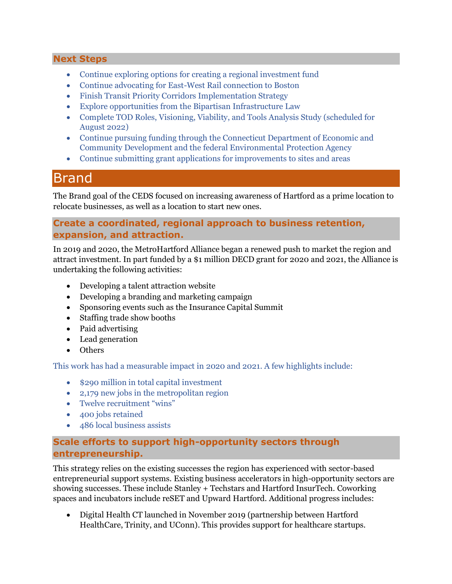#### **Next Steps**

- Continue exploring options for creating a regional investment fund
- Continue advocating for East-West Rail connection to Boston
- Finish Transit Priority Corridors Implementation Strategy
- Explore opportunities from the Bipartisan Infrastructure Law
- Complete TOD Roles, Visioning, Viability, and Tools Analysis Study (scheduled for August 2022)
- Continue pursuing funding through the Connecticut Department of Economic and Community Development and the federal Environmental Protection Agency
- Continue submitting grant applications for improvements to sites and areas

## Brand

The Brand goal of the CEDS focused on increasing awareness of Hartford as a prime location to relocate businesses, as well as a location to start new ones.

#### **Create a coordinated, regional approach to business retention, expansion, and attraction.**

In 2019 and 2020, the MetroHartford Alliance began a renewed push to market the region and attract investment. In part funded by a \$1 million DECD grant for 2020 and 2021, the Alliance is undertaking the following activities:

- Developing a talent attraction website
- Developing a branding and marketing campaign
- Sponsoring events such as the Insurance Capital Summit
- Staffing trade show booths
- Paid advertising
- Lead generation
- Others

This work has had a measurable impact in 2020 and 2021. A few highlights include:

- \$290 million in total capital investment
- 2,179 new jobs in the metropolitan region
- Twelve recruitment "wins"
- 400 jobs retained
- 486 local business assists

#### **Scale efforts to support high-opportunity sectors through entrepreneurship.**

This strategy relies on the existing successes the region has experienced with sector-based entrepreneurial support systems. Existing business accelerators in high-opportunity sectors are showing successes. These include Stanley + Techstars and Hartford InsurTech. Coworking spaces and incubators include reSET and Upward Hartford. Additional progress includes:

• Digital Health CT launched in November 2019 (partnership between Hartford HealthCare, Trinity, and UConn). This provides support for healthcare startups.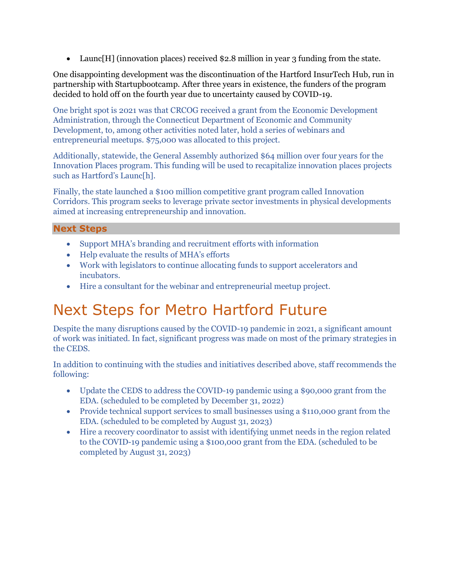• Launc[H] (innovation places) received \$2.8 million in year 3 funding from the state.

One disappointing development was the discontinuation of the Hartford InsurTech Hub, run in partnership with Startupbootcamp. After three years in existence, the funders of the program decided to hold off on the fourth year due to uncertainty caused by COVID-19.

One bright spot is 2021 was that CRCOG received a grant from the Economic Development Administration, through the Connecticut Department of Economic and Community Development, to, among other activities noted later, hold a series of webinars and entrepreneurial meetups. \$75,000 was allocated to this project.

Additionally, statewide, the General Assembly authorized \$64 million over four years for the Innovation Places program. This funding will be used to recapitalize innovation places projects such as Hartford's Launc[h].

Finally, the state launched a \$100 million competitive grant program called Innovation Corridors. This program seeks to leverage private sector investments in physical developments aimed at increasing entrepreneurship and innovation.

#### **Next Steps**

- Support MHA's branding and recruitment efforts with information
- Help evaluate the results of MHA's efforts
- Work with legislators to continue allocating funds to support accelerators and incubators.
- Hire a consultant for the webinar and entrepreneurial meetup project.

## Next Steps for Metro Hartford Future

Despite the many disruptions caused by the COVID-19 pandemic in 2021, a significant amount of work was initiated. In fact, significant progress was made on most of the primary strategies in the CEDS.

In addition to continuing with the studies and initiatives described above, staff recommends the following:

- Update the CEDS to address the COVID-19 pandemic using a \$90,000 grant from the EDA. (scheduled to be completed by December 31, 2022)
- Provide technical support services to small businesses using a \$110,000 grant from the EDA. (scheduled to be completed by August 31, 2023)
- Hire a recovery coordinator to assist with identifying unmet needs in the region related to the COVID-19 pandemic using a \$100,000 grant from the EDA. (scheduled to be completed by August 31, 2023)